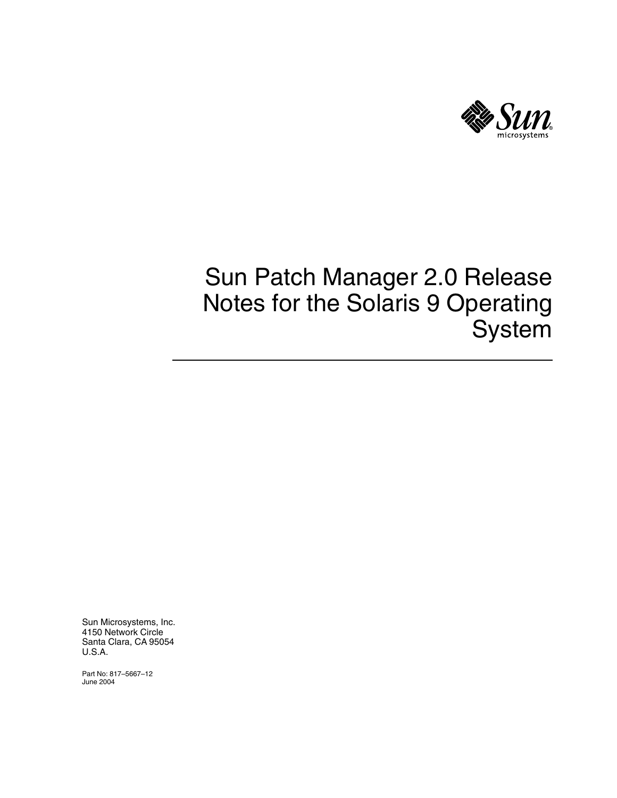

# Sun Patch Manager 2.0 Release Notes for the Solaris 9 Operating System

Sun Microsystems, Inc. 4150 Network Circle Santa Clara, CA 95054 U.S.A.

Part No: 817–5667–12 June 2004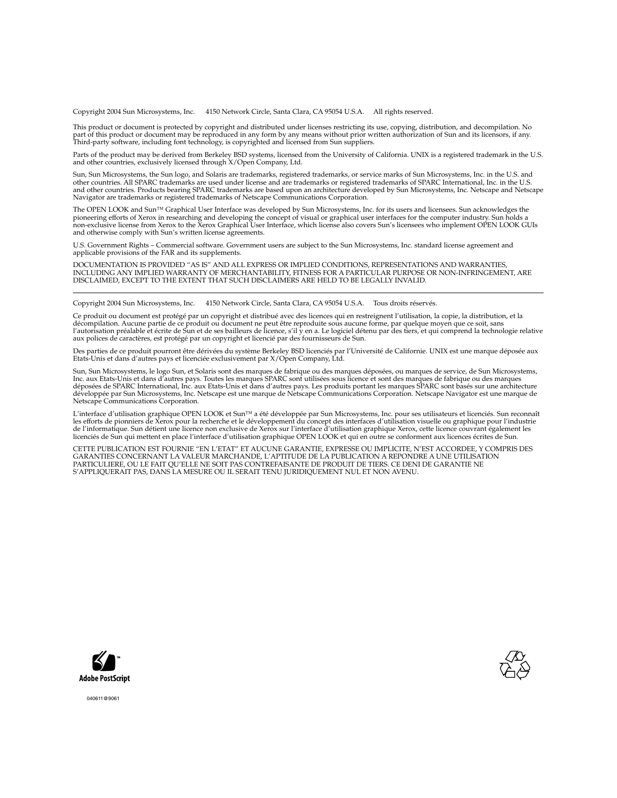Copyright 2004 Sun Microsystems, Inc. 4150 Network Circle, Santa Clara, CA 95054 U.S.A. All rights reserved.

This product or document is protected by copyright and distributed under licenses restricting its use, copying, distribution, and decompilation. No part of this product or document may be reproduced in any form by any means without prior written authorization of Sun and its licensors, if any.<br>Third-party software, including font technology, is copyrighted and licensed

Parts of the product may be derived from Berkeley BSD systems, licensed from the University of California. UNIX is a registered trademark in the U.S. and other countries, exclusively licensed through X/Open Company, Ltd.

Sun, Sun Microsystems, the Sun logo, and Solaris are trademarks, registered trademarks, or service marks of Sun Microsystems, Inc. in the U.S. and<br>other countries. All SPARC trademarks are used under license and are tradem Navigator are trademarks or registered trademarks of Netscape Communications Corporation.

The OPEN LOOK and Sun™ Graphical User Interface was developed by Sun Microsystems, Inc. for its users and licensees. Sun acknowledges the pioneering efforts of Xerox in researching and developing the concept of visual or graphical user interfaces for the computer industry. Sun holds a<br>non-exclusive license from Xerox to the Xerox Graphical User Interface, wh and otherwise comply with Sun's written license agreements.

U.S. Government Rights – Commercial software. Government users are subject to the Sun Microsystems, Inc. standard license agreement and applicable provisions of the FAR and its supplements.

DOCUMENTATION IS PROVIDED "AS IS" AND ALL EXPRESS OR IMPLIED CONDITIONS, REPRESENTATIONS AND WARRANTIES,<br>INCLUDING ANY IMPLIED WARRANTY OF MERCHANTABILITY, FITNESS FOR A PARTICULAR PURPOSE OR NON-INFRINGEMENT, ARE<br>DISCLAIM

Copyright 2004 Sun Microsystems, Inc. 4150 Network Circle, Santa Clara, CA 95054 U.S.A. Tous droits réservés.

Ce produit ou document est protégé par un copyright et distribué avec des licences qui en restreignent l'utilisation, la copie, la distribution, et la décompilation. Aucune partie de ce produit ou document ne peut être reproduite sous aucune forme, par quelque moyen que ce soit, sans<br>l'autorisation préalable et écrite de Sun et de ses bailleurs de licence, s'il y en a. L

Des parties de ce produit pourront être dérivées du système Berkeley BSD licenciés par l'Université de Californie. UNIX est une marque déposée aux Etats-Unis et dans d'autres pays et licenciée exclusivement par X/Open Company, Ltd.

Sun, Sun Microsystems, le logo Sun, et Solaris sont des marques de fabrique ou des marques déposées, ou marques de service, de Sun Microsystems,<br>Inc. aux Etats-Unis et dans d'autres pays. Toutes les marques SPARC sont util développée par Sun Microsystems, Inc. Netscape est une marque de Netscape Communications Corporation. Netscape Navigator est une marque de Netscape Communications Corporation.

L'interface d'utilisation graphique OPEN LOOK et Sun™ a été développée par Sun Microsystems, Inc. pour ses utilisateurs et licenciés. Sun reconnaît les efforts de pionniers de Xerox pour la recherche et le développement du concept des interfaces d'utilisation visuelle ou graphique pour l'industrie<br>de l'informatique. Sun détient une licence non exclusive de Xerox sur l licenciés de Sun qui mettent en place l'interface d'utilisation graphique OPEN LOOK et qui en outre se conforment aux licences écrites de Sun.

CETTE PUBLICATION EST FOURNIE "EN L'ETAT" ET AUCUNE GARANTIE, EXPRESSE OU IMPLICITE, N'EST ACCORDEE, Y COMPRIS DES<br>GARANTIES CONCERNANT LA VALEUR MARCHANDE, L'APTITUDE DE LA PUBLICATION A REPONDRE A UNE UTILISATION<br>PARTICU S'APPLIQUERAIT PAS, DANS LA MESURE OU IL SERAIT TENU JURIDIQUEMENT NUL ET NON AVENU.





040611@9061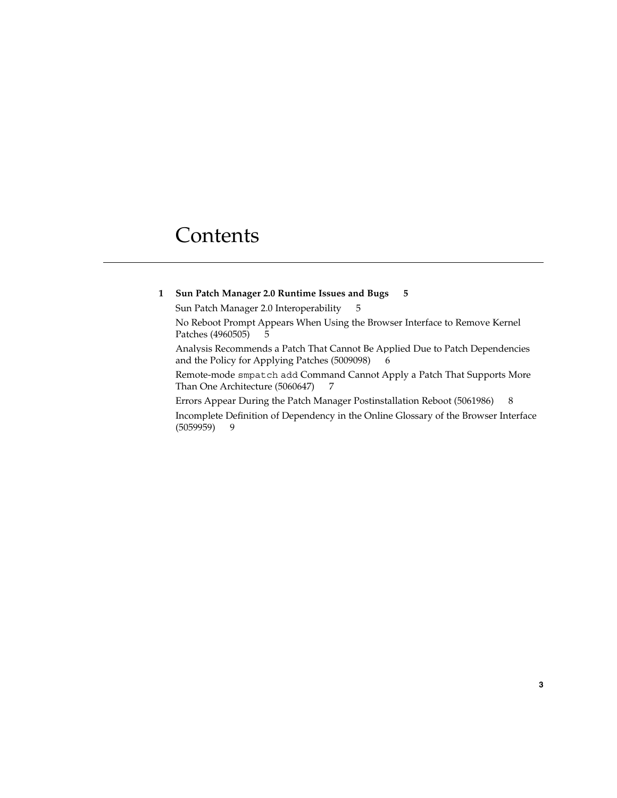# **Contents**

#### **[1 Sun Patch Manager 2.0 Runtime Issues and Bugs 5](#page-4-0)**

[Sun Patch Manager 2.0 Interoperability 5](#page-4-0)

[No Reboot Prompt Appears When Using the Browser Interface to Remove Kernel](#page-4-0) [Patches \(4960505\) 5](#page-4-0)

[Analysis Recommends a Patch That Cannot Be Applied Due to Patch Dependencies](#page-5-0) [and the Policy for Applying Patches \(5009098\) 6](#page-5-0)

Remote-mode smpatch add [Command Cannot Apply a Patch That Supports More](#page-6-0) [Than One Architecture \(5060647\) 7](#page-6-0)

[Errors Appear During the Patch Manager Postinstallation Reboot \(5061986\) 8](#page-7-0)

[Incomplete Definition of Dependency in the Online Glossary of the Browser Interface](#page-8-0) [\(5059959\) 9](#page-8-0)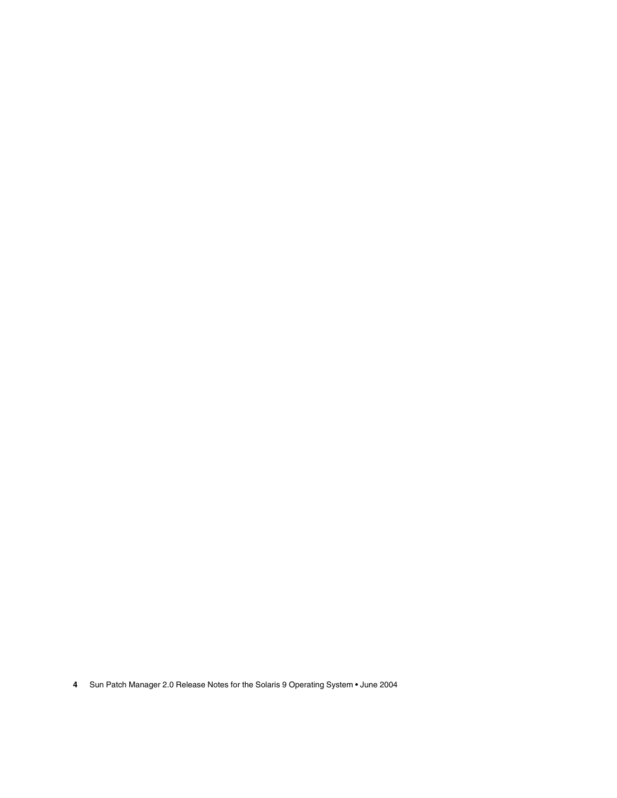Sun Patch Manager 2.0 Release Notes for the Solaris 9 Operating System • June 2004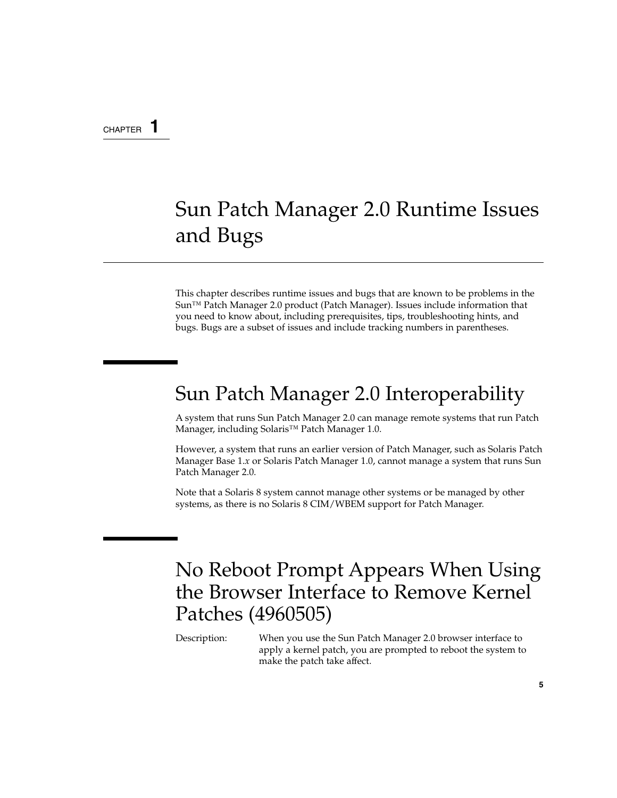#### <span id="page-4-0"></span>CHAPTER **1**

# Sun Patch Manager 2.0 Runtime Issues and Bugs

This chapter describes runtime issues and bugs that are known to be problems in the Sun™ Patch Manager 2.0 product (Patch Manager). Issues include information that you need to know about, including prerequisites, tips, troubleshooting hints, and bugs. Bugs are a subset of issues and include tracking numbers in parentheses.

### Sun Patch Manager 2.0 Interoperability

A system that runs Sun Patch Manager 2.0 can manage remote systems that run Patch Manager, including Solaris™ Patch Manager 1.0.

However, a system that runs an earlier version of Patch Manager, such as Solaris Patch Manager Base 1.*x* or Solaris Patch Manager 1.0, cannot manage a system that runs Sun Patch Manager 2.0.

Note that a Solaris 8 system cannot manage other systems or be managed by other systems, as there is no Solaris 8 CIM/WBEM support for Patch Manager.

### No Reboot Prompt Appears When Using the Browser Interface to Remove Kernel Patches (4960505)

Description: When you use the Sun Patch Manager 2.0 browser interface to apply a kernel patch, you are prompted to reboot the system to make the patch take affect.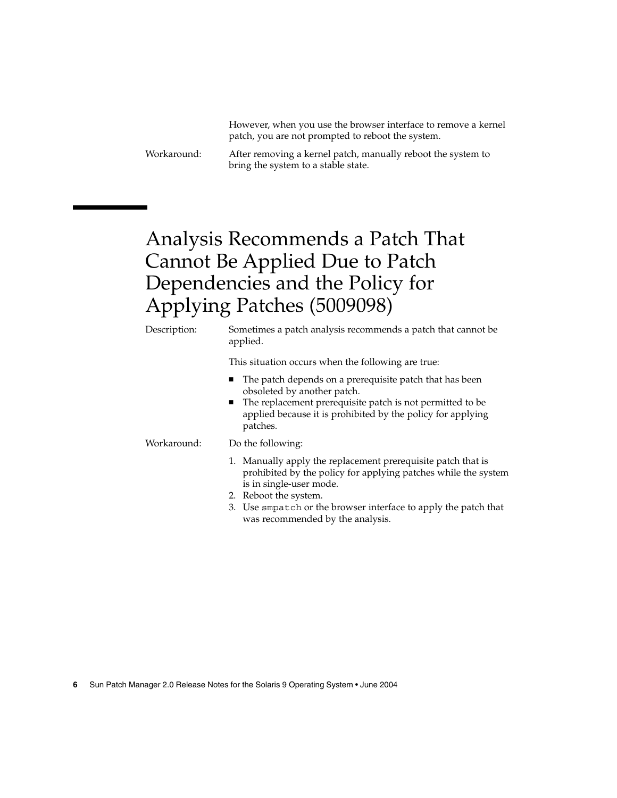However, when you use the browser interface to remove a kernel patch, you are not prompted to reboot the system.

<span id="page-5-0"></span>Workaround: After removing a kernel patch, manually reboot the system to bring the system to a stable state.

# Analysis Recommends a Patch That Cannot Be Applied Due to Patch Dependencies and the Policy for Applying Patches (5009098)

| Description: | Sometimes a patch analysis recommends a patch that cannot be<br>applied.                                                                                                                                                         |
|--------------|----------------------------------------------------------------------------------------------------------------------------------------------------------------------------------------------------------------------------------|
|              | This situation occurs when the following are true:                                                                                                                                                                               |
|              | The patch depends on a prerequisite patch that has been<br>obsoleted by another patch.<br>• The replacement prerequisite patch is not permitted to be<br>applied because it is prohibited by the policy for applying<br>patches. |
| Workaround:  | Do the following:                                                                                                                                                                                                                |
|              | 1. Manually apply the replacement prerequisite patch that is<br>prohibited by the policy for applying patches while the system<br>is in single-user mode.                                                                        |
|              | 2. Reboot the system.<br>3. Use smpatch or the browser interface to apply the patch that<br>was recommended by the analysis.                                                                                                     |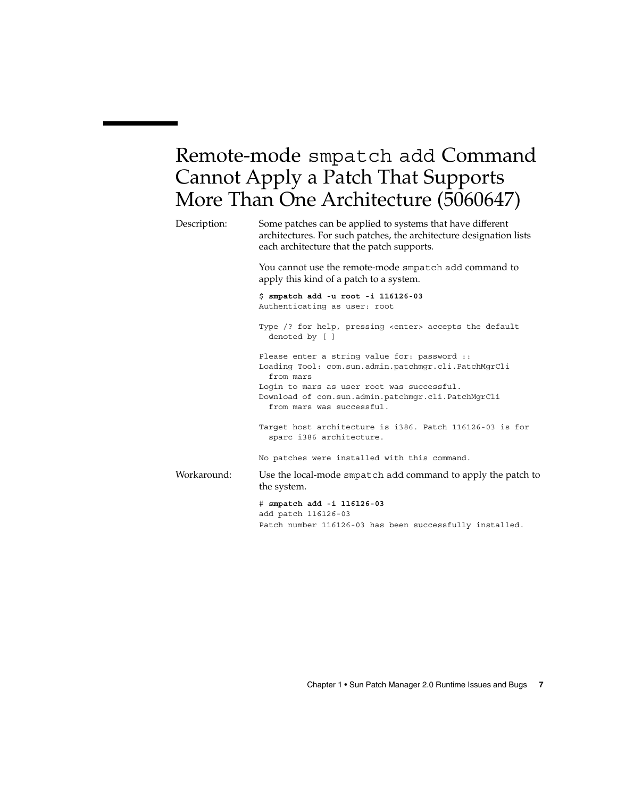# <span id="page-6-0"></span>Remote-mode smpatch add Command Cannot Apply a Patch That Supports More Than One Architecture (5060647)

| Description: | Some patches can be applied to systems that have different<br>architectures. For such patches, the architecture designation lists<br>each architecture that the patch supports. |
|--------------|---------------------------------------------------------------------------------------------------------------------------------------------------------------------------------|
|              | You cannot use the remote-mode smpatch add command to<br>apply this kind of a patch to a system.                                                                                |
|              | \$ smpatch add -u root -i 116126-03<br>Authenticating as user: root                                                                                                             |
|              | Type /? for help, pressing <enter> accepts the default<br/>denoted by [ ]</enter>                                                                                               |
|              | Please enter a string value for: password ::<br>Loading Tool: com.sun.admin.patchmgr.cli.PatchMgrCli<br>from mars                                                               |
|              | Login to mars as user root was successful.<br>Download of com.sun.admin.patchmgr.cli.PatchMgrCli<br>from mars was successful.                                                   |
|              | Target host architecture is i386. Patch 116126-03 is for<br>sparc i386 architecture.                                                                                            |
|              | No patches were installed with this command.                                                                                                                                    |
| Workaround:  | Use the local-mode smpatch add command to apply the patch to<br>the system.                                                                                                     |
|              | # smpatch add -i 116126-03<br>add patch 116126-03<br>Patch number 116126-03 has been successfully installed.                                                                    |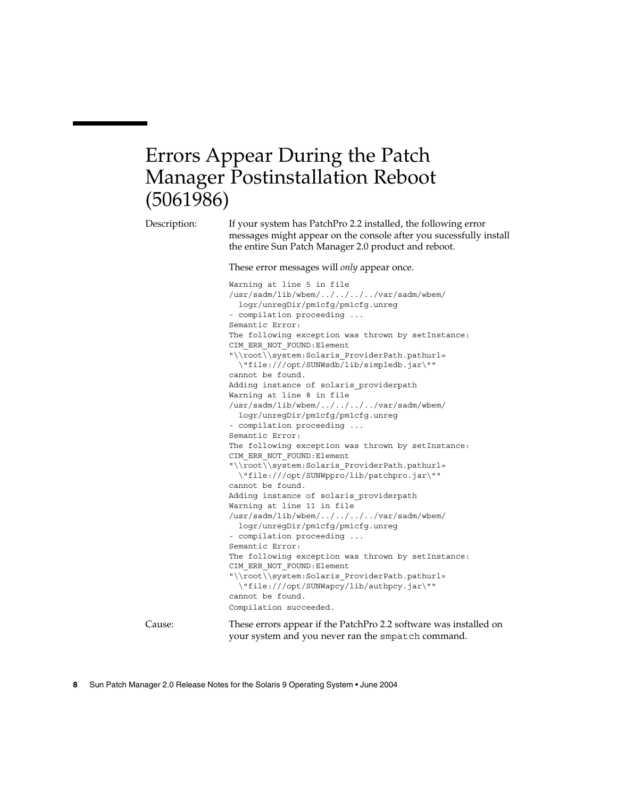# <span id="page-7-0"></span>Errors Appear During the Patch Manager Postinstallation Reboot (5061986)

Description: If your system has PatchPro 2.2 installed, the following error messages might appear on the console after you sucessfully install the entire Sun Patch Manager 2.0 product and reboot. These error messages will *only* appear once. Warning at line 5 in file /usr/sadm/lib/wbem/../../../../var/sadm/wbem/ logr/unregDir/pm1cfg/pm1cfg.unreg - compilation proceeding ... Semantic Error: The following exception was thrown by setInstance: CIM\_ERR\_NOT\_FOUND:Element "\\root\\system:Solaris\_ProviderPath.pathurl= \"file:///opt/SUNWsdb/lib/simpledb.jar\"" cannot be found. Adding instance of solaris providerpath Warning at line 8 in file /usr/sadm/lib/wbem/../../../../var/sadm/wbem/ logr/unregDir/pm1cfg/pm1cfg.unreg - compilation proceeding ... Semantic Error: The following exception was thrown by setInstance: CIM\_ERR\_NOT\_FOUND:Element "\\root\\system:Solaris\_ProviderPath.pathurl= \"file:///opt/SUNWppro/lib/patchpro.jar\"" cannot be found. Adding instance of solaris providerpath Warning at line 11 in file /usr/sadm/lib/wbem/../../../../var/sadm/wbem/ logr/unregDir/pm1cfg/pm1cfg.unreg - compilation proceeding ... Semantic Error: The following exception was thrown by setInstance: CIM\_ERR\_NOT\_FOUND:Element "\\root\\system:Solaris\_ProviderPath.pathurl= \"file:///opt/SUNWapcy/lib/authpcy.jar\"" cannot be found. Compilation succeeded. Cause: These errors appear if the PatchPro 2.2 software was installed on

your system and you never ran the smpatch command.

- 
- **8** Sun Patch Manager 2.0 Release Notes for the Solaris 9 Operating System June 2004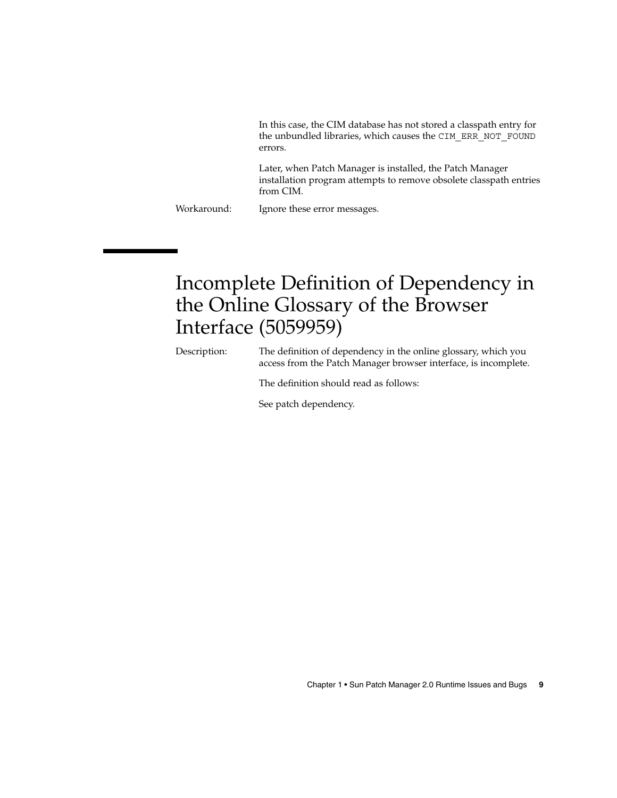In this case, the CIM database has not stored a classpath entry for the unbundled libraries, which causes the CIM\_ERR\_NOT\_FOUND errors.

Later, when Patch Manager is installed, the Patch Manager installation program attempts to remove obsolete classpath entries from CIM.

<span id="page-8-0"></span>Workaround: Ignore these error messages.

# Incomplete Definition of Dependency in the Online Glossary of the Browser Interface (5059959)

Description: The definition of dependency in the online glossary, which you access from the Patch Manager browser interface, is incomplete.

The definition should read as follows:

See patch dependency.

Chapter 1 • Sun Patch Manager 2.0 Runtime Issues and Bugs **9**